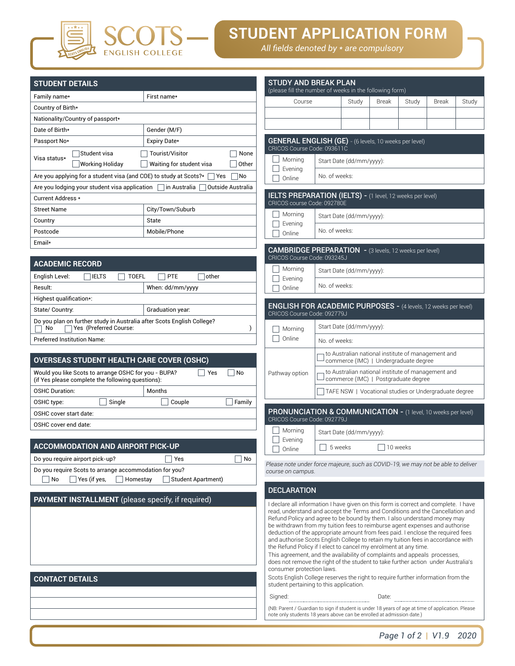

# **STUDENT APPLICATION FORM**

*All fields denoted by \* are compulsory*

| <b>STUDENT DETAILS</b>                                                                                    |                                   | <b>STUDY AND BREAK PLAN</b><br>(please fill the number of weeks in the following form)                                  |               |                                                                         |              |          |
|-----------------------------------------------------------------------------------------------------------|-----------------------------------|-------------------------------------------------------------------------------------------------------------------------|---------------|-------------------------------------------------------------------------|--------------|----------|
| Family name*                                                                                              | First name*                       | Course                                                                                                                  |               | Study                                                                   | <b>Break</b> | Stu      |
| Country of Birth*                                                                                         |                                   |                                                                                                                         |               |                                                                         |              |          |
| Nationality/Country of passport*                                                                          |                                   |                                                                                                                         |               |                                                                         |              |          |
| Date of Birth*                                                                                            | Gender (M/F)                      |                                                                                                                         |               |                                                                         |              |          |
| Passport No*                                                                                              | Expiry Date*                      | <b>GENERAL ENGLISH (GE)</b> - (6 levels, 10 weeks per<br>CRICOS Course Code: 093611C                                    |               |                                                                         |              |          |
| Student visa<br>Visa status*                                                                              | Tourist/Visitor<br>None           |                                                                                                                         |               |                                                                         |              |          |
| <b>Working Holiday</b>                                                                                    | Waiting for student visa<br>Other | Morning<br>Evening                                                                                                      |               | Start Date (dd/mm/yyyy):                                                |              |          |
| Are you applying for a student visa (and COE) to study at Scots?*                                         | Yes<br>No.                        | Online                                                                                                                  | No. of weeks: |                                                                         |              |          |
| Are you lodging your student visa application                                                             | Outside Australia<br>in Australia |                                                                                                                         |               |                                                                         |              |          |
| Current Address *                                                                                         |                                   | <b>IELTS PREPARATION (IELTS) - (1 level, 12 weeks</b><br>CRICOS course Code: 092780E                                    |               |                                                                         |              |          |
| <b>Street Name</b>                                                                                        | City/Town/Suburb                  | Morning                                                                                                                 |               |                                                                         |              |          |
| Country                                                                                                   | State                             | Evening                                                                                                                 |               | Start Date (dd/mm/yyyy):                                                |              |          |
| Postcode                                                                                                  | Mobile/Phone                      | Online                                                                                                                  | No. of weeks: |                                                                         |              |          |
| Email*                                                                                                    |                                   |                                                                                                                         |               |                                                                         |              |          |
|                                                                                                           |                                   | CAMBRIDGE PREPARATION - (3 levels, 12 week<br>CRICOS Course Code: 093245J                                               |               |                                                                         |              |          |
| <b>ACADEMIC RECORD</b>                                                                                    |                                   | Morning                                                                                                                 |               | Start Date (dd/mm/yyyy):                                                |              |          |
| English Level:<br><b>IELTS</b><br><b>TOEFL</b>                                                            | PTE<br>other                      | Evening                                                                                                                 |               |                                                                         |              |          |
| Result:                                                                                                   | When: dd/mm/yyyy                  | Online                                                                                                                  | No. of weeks: |                                                                         |              |          |
| Highest qualification*:                                                                                   |                                   |                                                                                                                         |               |                                                                         |              |          |
| State/ Country:                                                                                           | Graduation year:                  | <b>ENGLISH FOR ACADEMIC PURPOSES - (4 le</b><br>CRICOS Course Code: 092779J                                             |               |                                                                         |              |          |
| Do you plan on further study in Australia after Scots English College?<br>Yes (Preferred Course:<br>No    |                                   | Morning                                                                                                                 |               | Start Date (dd/mm/yyyy):                                                |              |          |
| <b>Preferred Institution Name:</b>                                                                        |                                   | Online                                                                                                                  | No. of weeks: |                                                                         |              |          |
| <b>OVERSEAS STUDENT HEALTH CARE COVER (OSHC)</b>                                                          |                                   |                                                                                                                         |               | to Australian national institute of r<br>commerce (IMC)   Undergraduate |              |          |
| Would you like Scots to arrange OSHC for you - BUPA?<br>(if Yes please complete the following questions): | Yes<br>No                         | Pathway option                                                                                                          |               | to Australian national institute of r<br>commerce (IMC)   Postgraduate  |              |          |
| <b>OSHC Duration:</b>                                                                                     | Months                            |                                                                                                                         |               | TAFE NSW   Vocational studies c                                         |              |          |
| Single<br>OSHC type:                                                                                      | Couple<br>Family                  |                                                                                                                         |               |                                                                         |              |          |
| OSHC cover start date:                                                                                    |                                   | <b>PRONUNCIATION &amp; COMMUNICATION - (1)</b>                                                                          |               |                                                                         |              |          |
| OSHC cover end date:                                                                                      |                                   | CRICOS Course Code: 092779J                                                                                             |               |                                                                         |              |          |
|                                                                                                           |                                   | Morning                                                                                                                 |               | Start Date (dd/mm/vvvv):                                                |              |          |
| <b>ACCOMMODATION AND AIRPORT PICK-UP</b>                                                                  |                                   | Evening<br>Online                                                                                                       |               | 5 weeks                                                                 |              | 10 weeks |
| Do you require airport pick-up?                                                                           | Yes<br>No                         |                                                                                                                         |               |                                                                         |              |          |
| Do you require Scots to arrange accommodation for you?                                                    |                                   | Please note under force majeure, such as COVID-19, we i<br>course on campus.                                            |               |                                                                         |              |          |
| No<br>Yes (if yes,<br>Homestav                                                                            | <b>Student Apartment)</b>         |                                                                                                                         |               |                                                                         |              |          |
|                                                                                                           |                                   | <b>DECLARATION</b>                                                                                                      |               |                                                                         |              |          |
| PAYMENT INSTALLMENT (please specify, if required)                                                         |                                   | I declare all information I have given on this form is correl<br>read, understand and accept the Terms and Conditions a |               |                                                                         |              |          |

**SCOTS** 

| <b>CONTACT DETAILS</b> |  |
|------------------------|--|
|------------------------|--|

| <b>STUDY AND BREAK PLAN</b><br>(please fill the number of weeks in the following form)                                                                                                                                                                                                                                                                                                                                                                                                                                                                                                                                                                  |                                                                                             |                          |                       |          |       |       |
|---------------------------------------------------------------------------------------------------------------------------------------------------------------------------------------------------------------------------------------------------------------------------------------------------------------------------------------------------------------------------------------------------------------------------------------------------------------------------------------------------------------------------------------------------------------------------------------------------------------------------------------------------------|---------------------------------------------------------------------------------------------|--------------------------|-----------------------|----------|-------|-------|
| Course                                                                                                                                                                                                                                                                                                                                                                                                                                                                                                                                                                                                                                                  |                                                                                             | Study                    | <b>Break</b>          | Study    | Break | Study |
|                                                                                                                                                                                                                                                                                                                                                                                                                                                                                                                                                                                                                                                         |                                                                                             |                          |                       |          |       |       |
|                                                                                                                                                                                                                                                                                                                                                                                                                                                                                                                                                                                                                                                         |                                                                                             |                          |                       |          |       |       |
| GENERAL ENGLISH (GE) - (6 levels, 10 weeks per level)<br>CRICOS Course Code: 093611C                                                                                                                                                                                                                                                                                                                                                                                                                                                                                                                                                                    |                                                                                             |                          |                       |          |       |       |
| Morning<br>Evening                                                                                                                                                                                                                                                                                                                                                                                                                                                                                                                                                                                                                                      | Start Date (dd/mm/yyyy):                                                                    |                          |                       |          |       |       |
| Online                                                                                                                                                                                                                                                                                                                                                                                                                                                                                                                                                                                                                                                  | No. of weeks:                                                                               |                          |                       |          |       |       |
| IELTS PREPARATION (IELTS) - (1 level, 12 weeks per level)<br>CRICOS course Code: 092780E                                                                                                                                                                                                                                                                                                                                                                                                                                                                                                                                                                |                                                                                             |                          |                       |          |       |       |
| Morning                                                                                                                                                                                                                                                                                                                                                                                                                                                                                                                                                                                                                                                 | Start Date (dd/mm/yyyy):                                                                    |                          |                       |          |       |       |
| Evening<br>Online                                                                                                                                                                                                                                                                                                                                                                                                                                                                                                                                                                                                                                       | No. of weeks:                                                                               |                          |                       |          |       |       |
| CAMBRIDGE PREPARATION - (3 levels, 12 weeks per level)<br>CRICOS Course Code: 093245J                                                                                                                                                                                                                                                                                                                                                                                                                                                                                                                                                                   |                                                                                             |                          |                       |          |       |       |
| Morning                                                                                                                                                                                                                                                                                                                                                                                                                                                                                                                                                                                                                                                 | Start Date (dd/mm/yyyy):                                                                    |                          |                       |          |       |       |
| Evening<br>Online                                                                                                                                                                                                                                                                                                                                                                                                                                                                                                                                                                                                                                       | No. of weeks:                                                                               |                          |                       |          |       |       |
| <b>ENGLISH FOR ACADEMIC PURPOSES - (4 levels, 12 weeks per level)</b><br>CRICOS Course Code: 092779J                                                                                                                                                                                                                                                                                                                                                                                                                                                                                                                                                    |                                                                                             |                          |                       |          |       |       |
| Morning<br>Online                                                                                                                                                                                                                                                                                                                                                                                                                                                                                                                                                                                                                                       |                                                                                             | Start Date (dd/mm/yyyy): |                       |          |       |       |
|                                                                                                                                                                                                                                                                                                                                                                                                                                                                                                                                                                                                                                                         | No. of weeks:                                                                               |                          |                       |          |       |       |
| Pathway option                                                                                                                                                                                                                                                                                                                                                                                                                                                                                                                                                                                                                                          | to Australian national institute of management and<br>commerce (IMC)   Undergraduate degree |                          |                       |          |       |       |
|                                                                                                                                                                                                                                                                                                                                                                                                                                                                                                                                                                                                                                                         | to Australian national institute of management and<br>commerce (IMC)   Postgraduate degree  |                          |                       |          |       |       |
|                                                                                                                                                                                                                                                                                                                                                                                                                                                                                                                                                                                                                                                         | TAFE NSW   Vocational studies or Undergraduate degree                                       |                          |                       |          |       |       |
| <b>PRONUNCIATION &amp; COMMUNICATION - (1 level, 10 weeks per level)</b><br>CRICOS Course Code: 092779J                                                                                                                                                                                                                                                                                                                                                                                                                                                                                                                                                 |                                                                                             |                          |                       |          |       |       |
| Morning                                                                                                                                                                                                                                                                                                                                                                                                                                                                                                                                                                                                                                                 |                                                                                             | Start Date (dd/mm/yyyy): |                       |          |       |       |
| Evening<br>Online                                                                                                                                                                                                                                                                                                                                                                                                                                                                                                                                                                                                                                       | 5 weeks                                                                                     |                          |                       | 10 weeks |       |       |
| Please note under force majeure, such as COVID-19, we may not be able to deliver<br>course on campus.                                                                                                                                                                                                                                                                                                                                                                                                                                                                                                                                                   |                                                                                             |                          |                       |          |       |       |
| <b>DECLARATION</b>                                                                                                                                                                                                                                                                                                                                                                                                                                                                                                                                                                                                                                      |                                                                                             |                          |                       |          |       |       |
| I declare all information I have given on this form is correct and complete. I have<br>read, understand and accept the Terms and Conditions and the Cancellation and<br>Refund Policy and agree to be bound by them. I also understand money may<br>be withdrawn from my tuition fees to reimburse agent expenses and authorise<br>deduction of the appropriate amount from fees paid. I enclose the required fees<br>and authorise Scots English College to retain my tuition fees in accordance with<br>the Refund Policy if I elect to cancel my enrolment at any time.<br>This agreement, and the availability of complaints and appeals processes, | tha right of the oti                                                                        |                          | السراك وءاولا وللملوا |          |       |       |

does not remove the right of the student to take further action under Australia's consumer protection laws. Scots English College reserves the right to require further information from the

student pertaining to this application.

Signed: Date:

(NB: Parent / Guardian to sign if student is under 18 years of age at time of application. Please note only students 18 years above can be enrolled at admission date.)